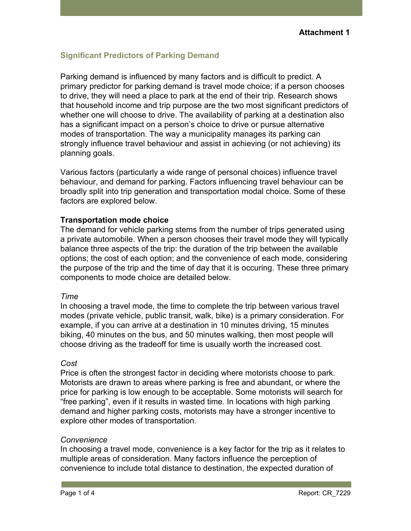# **Significant Predictors of Parking Demand**

Parking demand is influenced by many factors and is difficult to predict. A primary predictor for parking demand is travel mode choice; if a person chooses to drive, they will need a place to park at the end of their trip. Research shows that household income and trip purpose are the two most significant predictors of whether one will choose to drive. The availability of parking at a destination also has a significant impact on a person's choice to drive or pursue alternative modes of transportation. The way a municipality manages its parking can strongly influence travel behaviour and assist in achieving (or not achieving) its planning goals.

Various factors (particularly a wide range of personal choices) influence travel behaviour, and demand for parking. Factors influencing travel behaviour can be broadly split into trip generation and transportation modal choice. Some of these factors are explored below.

## **Transportation mode choice**

The demand for vehicle parking stems from the number of trips generated using a private automobile. When a person chooses their travel mode they will typically balance three aspects of the trip: the duration of the trip between the available options; the cost of each option; and the convenience of each mode, considering the purpose of the trip and the time of day that it is occuring. These three primary components to mode choice are detailed below.

## *Time*

In choosing a travel mode, the time to complete the trip between various travel modes (private vehicle, public transit, walk, bike) is a primary consideration. For example, if you can arrive at a destination in 10 minutes driving, 15 minutes biking, 40 minutes on the bus, and 50 minutes walking, then most people will choose driving as the tradeoff for time is usually worth the increased cost.

## *Cost*

Price is often the strongest factor in deciding where motorists choose to park. Motorists are drawn to areas where parking is free and abundant, or where the price for parking is low enough to be acceptable. Some motorists will search for "free parking", even if it results in wasted time. In locations with high parking demand and higher parking costs, motorists may have a stronger incentive to explore other modes of transportation.

## *Convenience*

In choosing a travel mode, convenience is a key factor for the trip as it relates to multiple areas of consideration. Many factors influence the perception of convenience to include total distance to destination, the expected duration of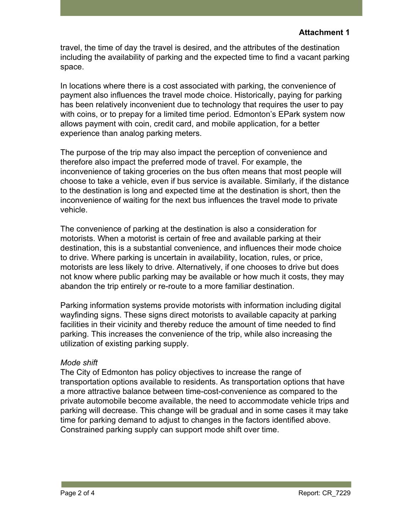travel, the time of day the travel is desired, and the attributes of the destination including the availability of parking and the expected time to find a vacant parking space.

In locations where there is a cost associated with parking, the convenience of payment also influences the travel mode choice. Historically, paying for parking has been relatively inconvenient due to technology that requires the user to pay with coins, or to prepay for a limited time period. Edmonton's EPark system now allows payment with coin, credit card, and mobile application, for a better experience than analog parking meters.

The purpose of the trip may also impact the perception of convenience and therefore also impact the preferred mode of travel. For example, the inconvenience of taking groceries on the bus often means that most people will choose to take a vehicle, even if bus service is available. Similarly, if the distance to the destination is long and expected time at the destination is short, then the inconvenience of waiting for the next bus influences the travel mode to private vehicle.

The convenience of parking at the destination is also a consideration for motorists. When a motorist is certain of free and available parking at their destination, this is a substantial convenience, and influences their mode choice to drive. Where parking is uncertain in availability, location, rules, or price, motorists are less likely to drive. Alternatively, if one chooses to drive but does not know where public parking may be available or how much it costs, they may abandon the trip entirely or re-route to a more familiar destination.

Parking information systems provide motorists with information including digital wayfinding signs. These signs direct motorists to available capacity at parking facilities in their vicinity and thereby reduce the amount of time needed to find parking. This increases the convenience of the trip, while also increasing the utilization of existing parking supply.

# *Mode shift*

The City of Edmonton has policy objectives to increase the range of transportation options available to residents. As transportation options that have a more attractive balance between time-cost-convenience as compared to the private automobile become available, the need to accommodate vehicle trips and parking will decrease. This change will be gradual and in some cases it may take time for parking demand to adjust to changes in the factors identified above. Constrained parking supply can support mode shift over time.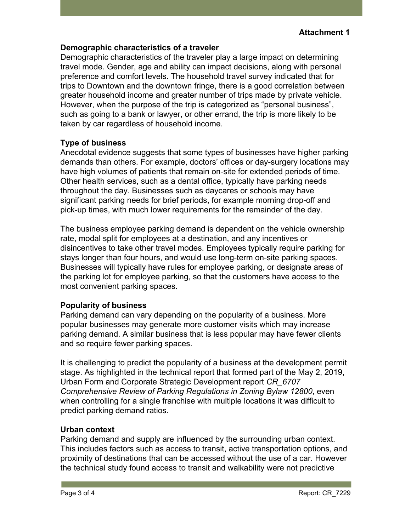## **Demographic characteristics of a traveler**

Demographic characteristics of the traveler play a large impact on determining travel mode. Gender, age and ability can impact decisions, along with personal preference and comfort levels. The household travel survey indicated that for trips to Downtown and the downtown fringe, there is a good correlation between greater household income and greater number of trips made by private vehicle. However, when the purpose of the trip is categorized as "personal business", such as going to a bank or lawyer, or other errand, the trip is more likely to be taken by car regardless of household income.

# **Type of business**

Anecdotal evidence suggests that some types of businesses have higher parking demands than others. For example, doctors' offices or day-surgery locations may have high volumes of patients that remain on-site for extended periods of time. Other health services, such as a dental office, typically have parking needs throughout the day. Businesses such as daycares or schools may have significant parking needs for brief periods, for example morning drop-off and pick-up times, with much lower requirements for the remainder of the day.

The business employee parking demand is dependent on the vehicle ownership rate, modal split for employees at a destination, and any incentives or disincentives to take other travel modes. Employees typically require parking for stays longer than four hours, and would use long-term on-site parking spaces. Businesses will typically have rules for employee parking, or designate areas of the parking lot for employee parking, so that the customers have access to the most convenient parking spaces.

# **Popularity of business**

Parking demand can vary depending on the popularity of a business. More popular businesses may generate more customer visits which may increase parking demand. A similar business that is less popular may have fewer clients and so require fewer parking spaces.

It is challenging to predict the popularity of a business at the development permit stage. As highlighted in the technical report that formed part of the May 2, 2019, Urban Form and Corporate Strategic Development report *CR\_6707 Comprehensive Review of Parking Regulations in Zoning Bylaw 12800*, even when controlling for a single franchise with multiple locations it was difficult to predict parking demand ratios.

# **Urban context**

Parking demand and supply are influenced by the surrounding urban context. This includes factors such as access to transit, active transportation options, and proximity of destinations that can be accessed without the use of a car. However the technical study found access to transit and walkability were not predictive